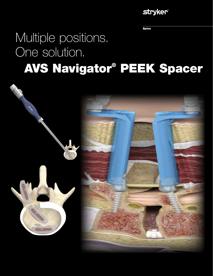## **stryker®**

**Spine** 

## Multiple positions. One solution. AVS Navigator® PEEK Spacer